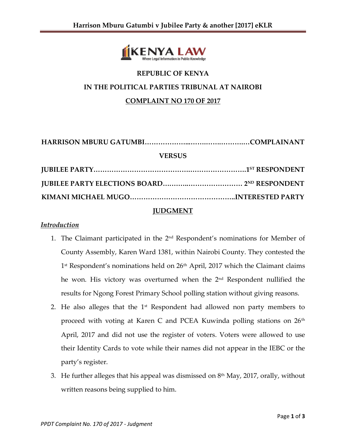

## **REPUBLIC OF KENYA IN THE POLITICAL PARTIES TRIBUNAL AT NAIROBI COMPLAINT NO 170 OF 2017**

# **HARRISON MBURU GATUMBI………………...…….…….……….…COMPLAINANT VERSUS JUBILEE PARTY…………………………………….…………………….1ST RESPONDENT JUBILEE PARTY ELECTIONS BOARD….……..…………………… 2 ND RESPONDENT KIMANI MICHAEL MUGO………………………………………..INTERESTED PARTY**

#### **JUDGMENT**

#### *Introduction*

- 1. The Claimant participated in the 2<sup>nd</sup> Respondent's nominations for Member of County Assembly, Karen Ward 1381, within Nairobi County. They contested the 1<sup>st</sup> Respondent's nominations held on 26<sup>th</sup> April, 2017 which the Claimant claims he won. His victory was overturned when the 2nd Respondent nullified the results for Ngong Forest Primary School polling station without giving reasons.
- 2. He also alleges that the  $1<sup>st</sup>$  Respondent had allowed non party members to proceed with voting at Karen C and PCEA Kuwinda polling stations on  $26<sup>th</sup>$ April, 2017 and did not use the register of voters. Voters were allowed to use their Identity Cards to vote while their names did not appear in the IEBC or the party's register.
- 3. He further alleges that his appeal was dismissed on  $8<sup>th</sup>$  May, 2017, orally, without written reasons being supplied to him.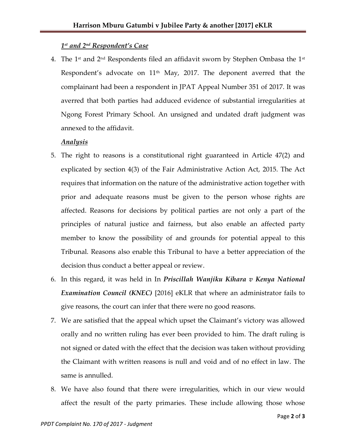### *1 st and 2nd Respondent's Case*

4. The 1<sup>st</sup> and  $2<sup>nd</sup>$  Respondents filed an affidavit sworn by Stephen Ombasa the 1<sup>st</sup> Respondent's advocate on  $11<sup>th</sup>$  May, 2017. The deponent averred that the complainant had been a respondent in JPAT Appeal Number 351 of 2017. It was averred that both parties had adduced evidence of substantial irregularities at Ngong Forest Primary School. An unsigned and undated draft judgment was annexed to the affidavit.

#### *Analysis*

- 5. The right to reasons is a constitutional right guaranteed in Article 47(2) and explicated by section 4(3) of the Fair Administrative Action Act, 2015. The Act requires that information on the nature of the administrative action together with prior and adequate reasons must be given to the person whose rights are affected. Reasons for decisions by political parties are not only a part of the principles of natural justice and fairness, but also enable an affected party member to know the possibility of and grounds for potential appeal to this Tribunal. Reasons also enable this Tribunal to have a better appreciation of the decision thus conduct a better appeal or review.
- 6. In this regard, it was held in In *Priscillah Wanjiku Kihara v Kenya National Examination Council (KNEC)* [2016] eKLR that where an administrator fails to give reasons, the court can infer that there were no good reasons.
- 7. We are satisfied that the appeal which upset the Claimant's victory was allowed orally and no written ruling has ever been provided to him. The draft ruling is not signed or dated with the effect that the decision was taken without providing the Claimant with written reasons is null and void and of no effect in law. The same is annulled.
- 8. We have also found that there were irregularities, which in our view would affect the result of the party primaries. These include allowing those whose